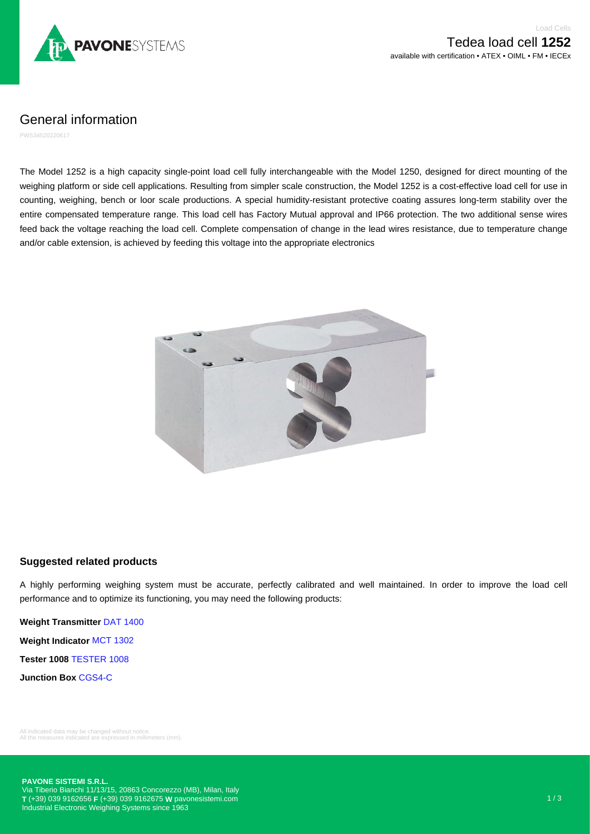

General information

PWS34520220617

The Model 1252 is a high capacity single-point load cell fully interchangeable with the Model 1250, designed for direct mounting of the weighing platform or side cell applications. Resulting from simpler scale construction, the Model 1252 is a cost-effective load cell for use in counting, weighing, bench or loor scale productions. A special humidity-resistant protective coating assures long-term stability over the entire compensated temperature range. This load cell has Factory Mutual approval and IP66 protection. The two additional sense wires feed back the voltage reaching the load cell. Complete compensation of change in the lead wires resistance, due to temperature change and/or cable extension, is achieved by feeding this voltage into the appropriate electronics



## **Suggested related products**

A highly performing weighing system must be accurate, perfectly calibrated and well maintained. In order to improve the load cell performance and to optimize its functioning, you may need the following products:

**Weight Transmitter** [DAT 1400](https://www.pavonesistemi.com/weight-transmitters-dat-1400) **Weight Indicator** [MCT 1302](https://www.pavonesistemi.com/weight-indicators-mct-1302) **Tester 1008** [TESTER 1008](https://www.pavonesistemi.com/accessories-tester-1008-tester-1008) **Junction Box** [CGS4-C](https://www.pavonesistemi.com/accessories-junction-boxes-cgs4c)

All indicated data may be changed without notice. All the measures indicated are expressed in millimeters (mm).

**PAVONE SISTEMI S.R.L.**

Via Tiberio Bianchi 11/13/15, 20863 Concorezzo (MB), Milan, Italy **T** (+39) 039 9162656 **F** (+39) 039 9162675 **W** [pavonesistemi.com](https://www.pavonesistemi.com) Industrial Electronic Weighing Systems since 1963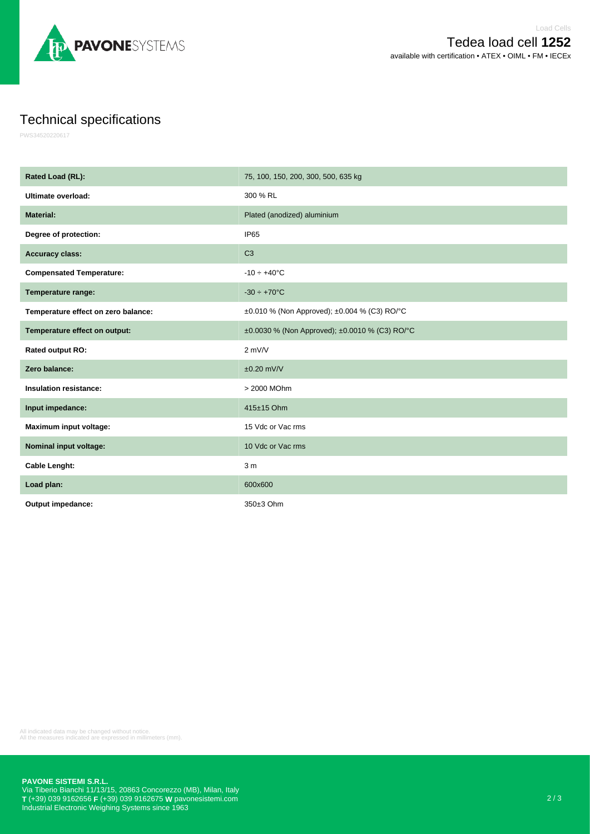

## Technical specifications

PWS34520220617

| Rated Load (RL):                    | 75, 100, 150, 200, 300, 500, 635 kg            |
|-------------------------------------|------------------------------------------------|
| Ultimate overload:                  | 300 % RL                                       |
| <b>Material:</b>                    | Plated (anodized) aluminium                    |
| Degree of protection:               | IP <sub>65</sub>                               |
| <b>Accuracy class:</b>              | C <sub>3</sub>                                 |
| <b>Compensated Temperature:</b>     | $-10 \div +40$ °C                              |
| Temperature range:                  | $-30 \div +70$ °C                              |
| Temperature effect on zero balance: | ±0.010 % (Non Approved); ±0.004 % (C3) RO/°C   |
| Temperature effect on output:       | ±0.0030 % (Non Approved); ±0.0010 % (C3) RO/°C |
| Rated output RO:                    | $2$ mV/V                                       |
| Zero balance:                       | $±0.20$ mV/V                                   |
| <b>Insulation resistance:</b>       | > 2000 MOhm                                    |
| Input impedance:                    | 415±15 Ohm                                     |
| Maximum input voltage:              | 15 Vdc or Vac rms                              |
| Nominal input voltage:              | 10 Vdc or Vac rms                              |
| <b>Cable Lenght:</b>                | 3 <sub>m</sub>                                 |
| Load plan:                          | 600x600                                        |
| Output impedance:                   | 350±3 Ohm                                      |

All indicated data may be changed without notice. All the measures indicated are expressed in millimeters (mm).

**PAVONE SISTEMI S.R.L.**